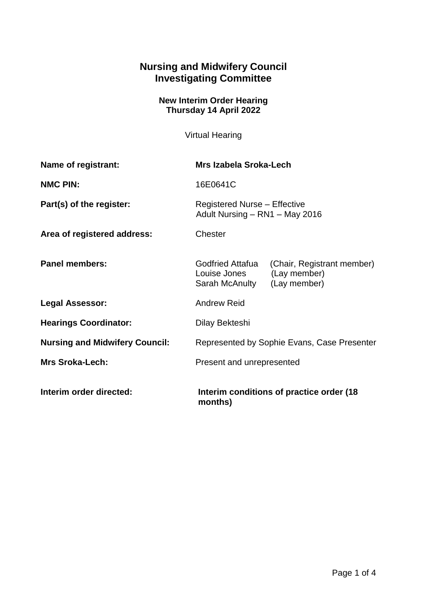## **Nursing and Midwifery Council Investigating Committee**

## **New Interim Order Hearing Thursday 14 April 2022**

Virtual Hearing

| Name of registrant:                   | Mrs Izabela Sroka-Lech                                                |                                            |
|---------------------------------------|-----------------------------------------------------------------------|--------------------------------------------|
| <b>NMC PIN:</b>                       | 16E0641C                                                              |                                            |
| Part(s) of the register:              | <b>Registered Nurse - Effective</b><br>Adult Nursing - RN1 - May 2016 |                                            |
| Area of registered address:           | Chester                                                               |                                            |
| <b>Panel members:</b>                 | Godfried Attafua<br>Louise Jones<br>Sarah McAnulty (Lay member)       | (Chair, Registrant member)<br>(Lay member) |
| <b>Legal Assessor:</b>                | <b>Andrew Reid</b>                                                    |                                            |
| <b>Hearings Coordinator:</b>          | Dilay Bekteshi                                                        |                                            |
| <b>Nursing and Midwifery Council:</b> | Represented by Sophie Evans, Case Presenter                           |                                            |
| <b>Mrs Sroka-Lech:</b>                | Present and unrepresented                                             |                                            |
| Interim order directed:               | Interim conditions of practice order (18)<br>months)                  |                                            |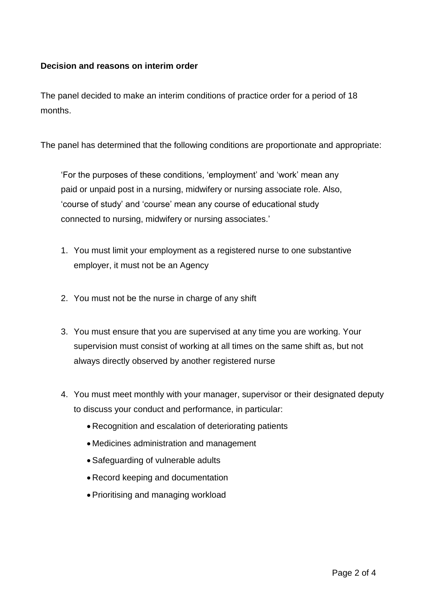## **Decision and reasons on interim order**

The panel decided to make an interim conditions of practice order for a period of 18 months.

The panel has determined that the following conditions are proportionate and appropriate:

'For the purposes of these conditions, 'employment' and 'work' mean any paid or unpaid post in a nursing, midwifery or nursing associate role. Also, 'course of study' and 'course' mean any course of educational study connected to nursing, midwifery or nursing associates.'

- 1. You must limit your employment as a registered nurse to one substantive employer, it must not be an Agency
- 2. You must not be the nurse in charge of any shift
- 3. You must ensure that you are supervised at any time you are working. Your supervision must consist of working at all times on the same shift as, but not always directly observed by another registered nurse
- 4. You must meet monthly with your manager, supervisor or their designated deputy to discuss your conduct and performance, in particular:
	- Recognition and escalation of deteriorating patients
	- Medicines administration and management
	- Safeguarding of vulnerable adults
	- Record keeping and documentation
	- Prioritising and managing workload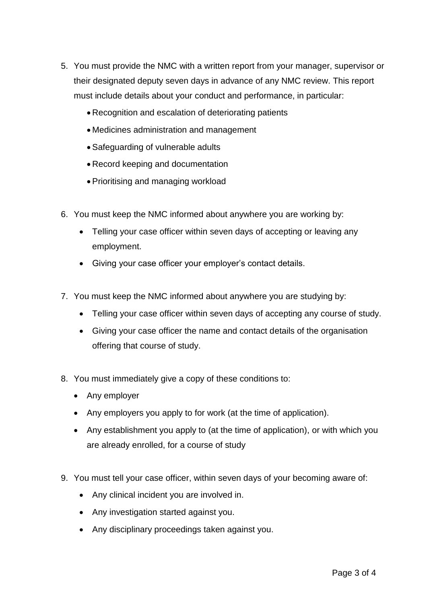- 5. You must provide the NMC with a written report from your manager, supervisor or their designated deputy seven days in advance of any NMC review. This report must include details about your conduct and performance, in particular:
	- Recognition and escalation of deteriorating patients
	- Medicines administration and management
	- Safeguarding of vulnerable adults
	- Record keeping and documentation
	- Prioritising and managing workload
- 6. You must keep the NMC informed about anywhere you are working by:
	- Telling your case officer within seven days of accepting or leaving any employment.
	- Giving your case officer your employer's contact details.
- 7. You must keep the NMC informed about anywhere you are studying by:
	- Telling your case officer within seven days of accepting any course of study.
	- Giving your case officer the name and contact details of the organisation offering that course of study.
- 8. You must immediately give a copy of these conditions to:
	- Any employer
	- Any employers you apply to for work (at the time of application).
	- Any establishment you apply to (at the time of application), or with which you are already enrolled, for a course of study
- 9. You must tell your case officer, within seven days of your becoming aware of:
	- Any clinical incident you are involved in.
	- Any investigation started against you.
	- Any disciplinary proceedings taken against you.